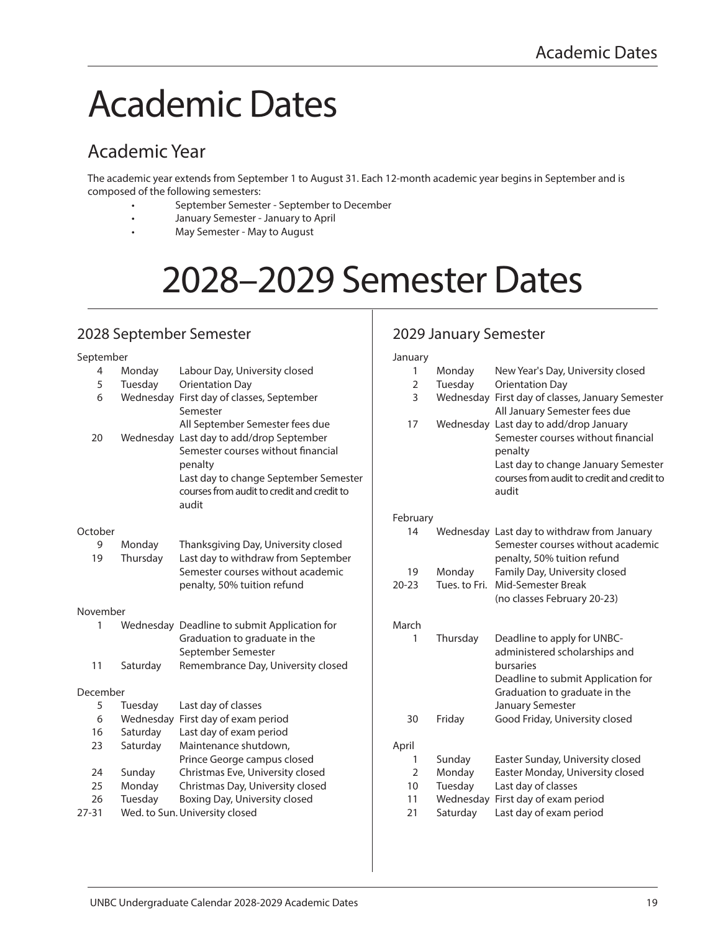## Academic Dates

## Academic Year

The academic year extends from September 1 to August 31. Each 12-month academic year begins in September and is composed of the following semesters:

- September Semester September to December
- January Semester January to April
- May Semester May to August

# 2028–2029 Semester Dates

## 2028 September Semester

#### September 4 Monday Labour Day, University closed 5 Tuesday Orientation Day 6 Wednesday First day of classes, September Semester All September Semester fees due 20 Wednesday Last day to add/drop September Semester courses without financial penalty Last day to change September Semester courses from audit to credit and credit to audit **October** 9 Monday Thanksgiving Day, University closed 19 Thursday Last day to withdraw from September Semester courses without academic penalty, 50% tuition refund November 1 Wednesday Deadline to submit Application for Graduation to graduate in the September Semester 11 Saturday Remembrance Day, University closed December 5 Tuesday Last day of classes 6 Wednesday First day of exam period 16 Saturday Last day of exam period 23 Saturday Maintenance shutdown, Prince George campus closed 24 Sunday Christmas Eve, University closed 25 Monday Christmas Day, University closed 26 Tuesday Boxing Day, University closed 27-31 Wed. to Sun. University closed March April

## 2029 January Semester

| January        |                      |                                                                                                                                                                                       |
|----------------|----------------------|---------------------------------------------------------------------------------------------------------------------------------------------------------------------------------------|
| 1              | Monday               | New Year's Day, University closed                                                                                                                                                     |
| $\overline{2}$ | Tuesday              | <b>Orientation Day</b>                                                                                                                                                                |
| 3              | Wednesday            | First day of classes, January Semester<br>All January Semester fees due                                                                                                               |
| 17             |                      | Wednesday Last day to add/drop January<br>Semester courses without financial<br>penalty<br>Last day to change January Semester<br>courses from audit to credit and credit to<br>audit |
| February       |                      |                                                                                                                                                                                       |
| 14             |                      | Wednesday Last day to withdraw from January<br>Semester courses without academic<br>penalty, 50% tuition refund                                                                       |
| 19             | Monday               | Family Day, University closed                                                                                                                                                         |
| $20 - 23$      | Tues, to Fri.        | Mid-Semester Break                                                                                                                                                                    |
|                |                      | (no classes February 20-23)                                                                                                                                                           |
| March          |                      |                                                                                                                                                                                       |
| 1              | Thursday             | Deadline to apply for UNBC-                                                                                                                                                           |
|                |                      | administered scholarships and<br>bursaries                                                                                                                                            |
|                |                      | Deadline to submit Application for                                                                                                                                                    |
|                |                      | Graduation to graduate in the                                                                                                                                                         |
| 30             | Friday               | January Semester<br>Good Friday, University closed                                                                                                                                    |
|                |                      |                                                                                                                                                                                       |
| April          |                      |                                                                                                                                                                                       |
| 1              | Sunday               | Easter Sunday, University closed                                                                                                                                                      |
| $\overline{2}$ | Monday               | Easter Monday, University closed                                                                                                                                                      |
| 10<br>11       | Tuesday<br>Wednesday | Last day of classes                                                                                                                                                                   |
| 21             | Saturday             | First day of exam period<br>Last day of exam period                                                                                                                                   |
|                |                      |                                                                                                                                                                                       |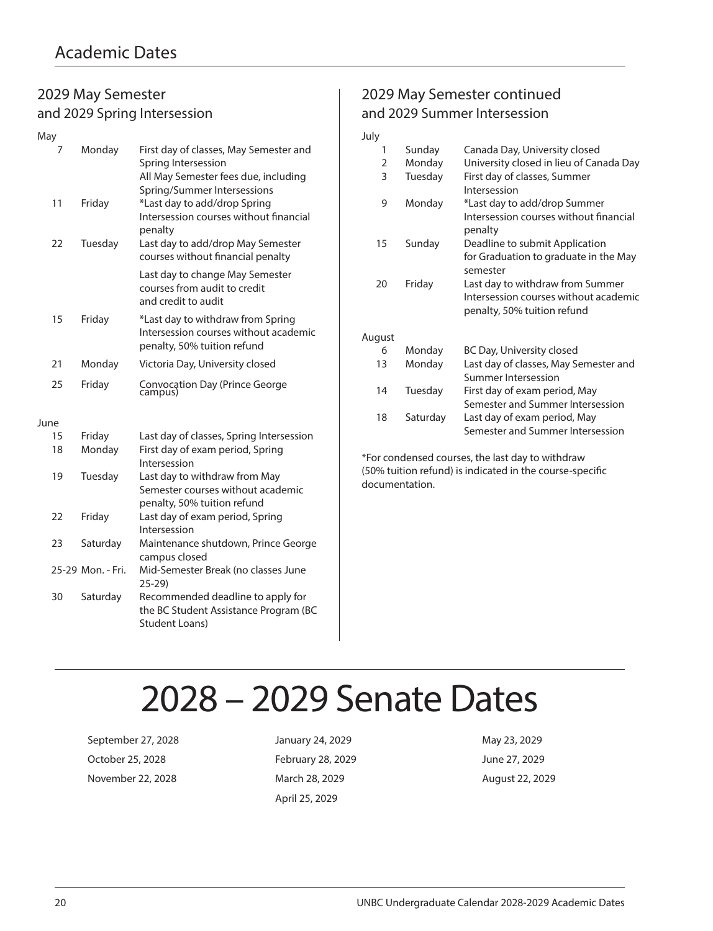## 2029 May Semester and 2029 Spring Intersession

| May  |    |                   |                                                                                                                                      |
|------|----|-------------------|--------------------------------------------------------------------------------------------------------------------------------------|
|      | 7  | Monday            | First day of classes, May Semester and<br>Spring Intersession<br>All May Semester fees due, including<br>Spring/Summer Intersessions |
|      | 11 | Friday            | *Last day to add/drop Spring<br>Intersession courses without financial<br>penalty                                                    |
|      | 22 | Tuesday           | Last day to add/drop May Semester<br>courses without financial penalty                                                               |
|      |    |                   | Last day to change May Semester<br>courses from audit to credit<br>and credit to audit                                               |
|      | 15 | Friday            | *Last day to withdraw from Spring<br>Intersession courses without academic<br>penalty, 50% tuition refund                            |
|      | 21 | Monday            | Victoria Day, University closed                                                                                                      |
|      | 25 | Friday            | Convocation Day (Prince George<br>campus)                                                                                            |
| June |    |                   |                                                                                                                                      |
|      | 15 | Friday            | Last day of classes, Spring Intersession                                                                                             |
|      | 18 | Monday            | First day of exam period, Spring<br>Intersession                                                                                     |
|      | 19 | Tuesday           | Last day to withdraw from May<br>Semester courses without academic<br>penalty, 50% tuition refund                                    |
|      | 22 | Friday            | Last day of exam period, Spring<br>Intersession                                                                                      |
|      | 23 | Saturday          | Maintenance shutdown, Prince George<br>campus closed                                                                                 |
|      |    | 25-29 Mon. - Fri. | Mid-Semester Break (no classes June<br>$25-29$                                                                                       |
|      | 30 | Saturday          | Recommended deadline to apply for<br>the BC Student Assistance Program (BC<br>Student Loans)                                         |

## 2029 May Semester continued and 2029 Summer Intersession

| July   |          |                                                                                                          |
|--------|----------|----------------------------------------------------------------------------------------------------------|
| 1      | Sunday   | Canada Day, University closed                                                                            |
| 2      | Monday   | University closed in lieu of Canada Day                                                                  |
| 3      | Tuesday  | First day of classes, Summer<br>Intersession                                                             |
| 9      | Monday   | *Last day to add/drop Summer<br>Intersession courses without financial<br>penalty                        |
| 15     | Sunday   | Deadline to submit Application<br>for Graduation to graduate in the May<br>semester                      |
| 20     | Friday   | Last day to withdraw from Summer<br>Intersession courses without academic<br>penalty, 50% tuition refund |
| August |          |                                                                                                          |
| 6      | Monday   | BC Day, University closed                                                                                |
| 13     | Monday   | Last day of classes, May Semester and<br>Summer Intersession                                             |
| 14     | Tuesday  | First day of exam period, May<br>Semester and Summer Intersession                                        |
| 18     | Saturday | Last day of exam period, May<br>Semester and Summer Intersession                                         |

\*For condensed courses, the last day to withdraw (50% tuition refund) is indicated in the course-specific documentation.

## 2028 – 2029 Senate Dates

September 27, 2028 **January 24, 2029** May 23, 2029 October 25, 2028 February 28, 2029 June 27, 2029 November 22, 2028 March 28, 2029 August 22, 2029

April 25, 2029